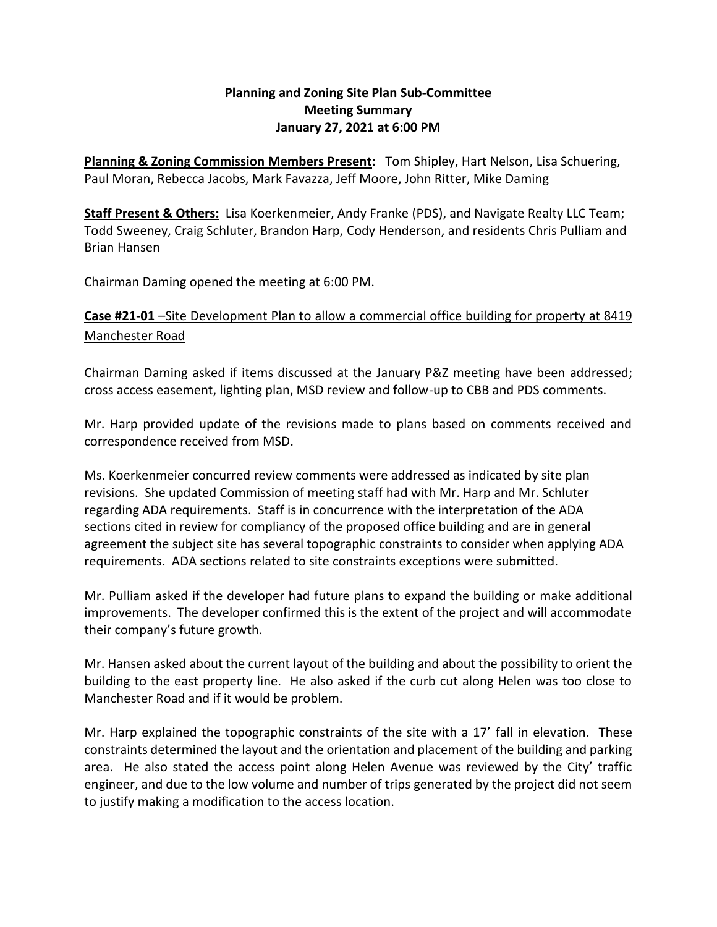## **Planning and Zoning Site Plan Sub-Committee Meeting Summary January 27, 2021 at 6:00 PM**

**Planning & Zoning Commission Members Present:** Tom Shipley, Hart Nelson, Lisa Schuering, Paul Moran, Rebecca Jacobs, Mark Favazza, Jeff Moore, John Ritter, Mike Daming

**Staff Present & Others:** Lisa Koerkenmeier, Andy Franke (PDS), and Navigate Realty LLC Team; Todd Sweeney, Craig Schluter, Brandon Harp, Cody Henderson, and residents Chris Pulliam and Brian Hansen

Chairman Daming opened the meeting at 6:00 PM.

## **Case #21-01** –Site Development Plan to allow a commercial office building for property at 8419 Manchester Road

Chairman Daming asked if items discussed at the January P&Z meeting have been addressed; cross access easement, lighting plan, MSD review and follow-up to CBB and PDS comments.

Mr. Harp provided update of the revisions made to plans based on comments received and correspondence received from MSD.

Ms. Koerkenmeier concurred review comments were addressed as indicated by site plan revisions. She updated Commission of meeting staff had with Mr. Harp and Mr. Schluter regarding ADA requirements. Staff is in concurrence with the interpretation of the ADA sections cited in review for compliancy of the proposed office building and are in general agreement the subject site has several topographic constraints to consider when applying ADA requirements. ADA sections related to site constraints exceptions were submitted.

Mr. Pulliam asked if the developer had future plans to expand the building or make additional improvements. The developer confirmed this is the extent of the project and will accommodate their company's future growth.

Mr. Hansen asked about the current layout of the building and about the possibility to orient the building to the east property line. He also asked if the curb cut along Helen was too close to Manchester Road and if it would be problem.

Mr. Harp explained the topographic constraints of the site with a 17' fall in elevation. These constraints determined the layout and the orientation and placement of the building and parking area. He also stated the access point along Helen Avenue was reviewed by the City' traffic engineer, and due to the low volume and number of trips generated by the project did not seem to justify making a modification to the access location.